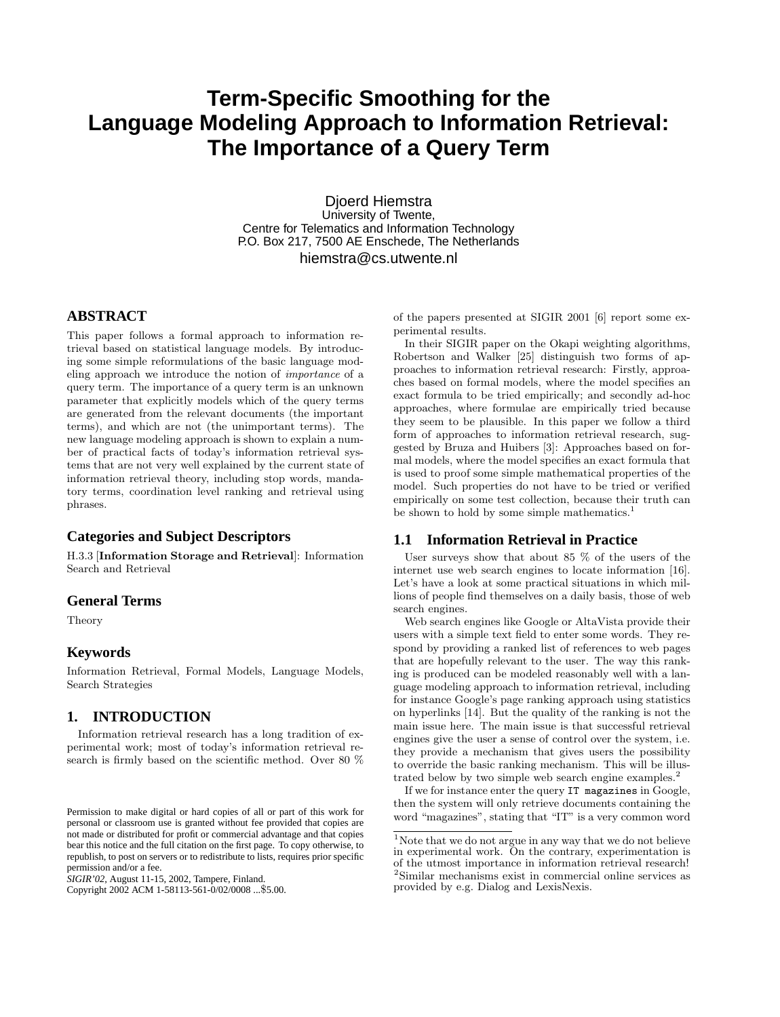# **Term-Specific Smoothing for the Language Modeling Approach to Information Retrieval: The Importance of a Query Term**

Djoerd Hiemstra University of Twente, Centre for Telematics and Information Technology P.O. Box 217, 7500 AE Enschede, The Netherlands hiemstra@cs.utwente.nl

# **ABSTRACT**

This paper follows a formal approach to information retrieval based on statistical language models. By introducing some simple reformulations of the basic language modeling approach we introduce the notion of importance of a query term. The importance of a query term is an unknown parameter that explicitly models which of the query terms are generated from the relevant documents (the important terms), and which are not (the unimportant terms). The new language modeling approach is shown to explain a number of practical facts of today's information retrieval systems that are not very well explained by the current state of information retrieval theory, including stop words, mandatory terms, coordination level ranking and retrieval using phrases.

## **Categories and Subject Descriptors**

H.3.3 [Information Storage and Retrieval]: Information Search and Retrieval

## **General Terms**

Theory

## **Keywords**

Information Retrieval, Formal Models, Language Models, Search Strategies

# **1. INTRODUCTION**

Information retrieval research has a long tradition of experimental work; most of today's information retrieval research is firmly based on the scientific method. Over 80 %

*SIGIR'02,* August 11-15, 2002, Tampere, Finland.

Copyright 2002 ACM 1-58113-561-0/02/0008 ...\$5.00.

of the papers presented at SIGIR 2001 [6] report some experimental results.

In their SIGIR paper on the Okapi weighting algorithms, Robertson and Walker [25] distinguish two forms of approaches to information retrieval research: Firstly, approaches based on formal models, where the model specifies an exact formula to be tried empirically; and secondly ad-hoc approaches, where formulae are empirically tried because they seem to be plausible. In this paper we follow a third form of approaches to information retrieval research, suggested by Bruza and Huibers [3]: Approaches based on formal models, where the model specifies an exact formula that is used to proof some simple mathematical properties of the model. Such properties do not have to be tried or verified empirically on some test collection, because their truth can be shown to hold by some simple mathematics.<sup>1</sup>

## **1.1 Information Retrieval in Practice**

User surveys show that about 85 % of the users of the internet use web search engines to locate information [16]. Let's have a look at some practical situations in which millions of people find themselves on a daily basis, those of web search engines.

Web search engines like Google or AltaVista provide their users with a simple text field to enter some words. They respond by providing a ranked list of references to web pages that are hopefully relevant to the user. The way this ranking is produced can be modeled reasonably well with a language modeling approach to information retrieval, including for instance Google's page ranking approach using statistics on hyperlinks [14]. But the quality of the ranking is not the main issue here. The main issue is that successful retrieval engines give the user a sense of control over the system, i.e. they provide a mechanism that gives users the possibility to override the basic ranking mechanism. This will be illustrated below by two simple web search engine examples.<sup>2</sup>

If we for instance enter the query IT magazines in Google, then the system will only retrieve documents containing the word "magazines", stating that "IT" is a very common word

Permission to make digital or hard copies of all or part of this work for personal or classroom use is granted without fee provided that copies are not made or distributed for profit or commercial advantage and that copies bear this notice and the full citation on the first page. To copy otherwise, to republish, to post on servers or to redistribute to lists, requires prior specific permission and/or a fee.

<sup>1</sup>Note that we do not argue in any way that we do not believe in experimental work. On the contrary, experimentation is of the utmost importance in information retrieval research! <sup>2</sup>Similar mechanisms exist in commercial online services as provided by e.g. Dialog and LexisNexis.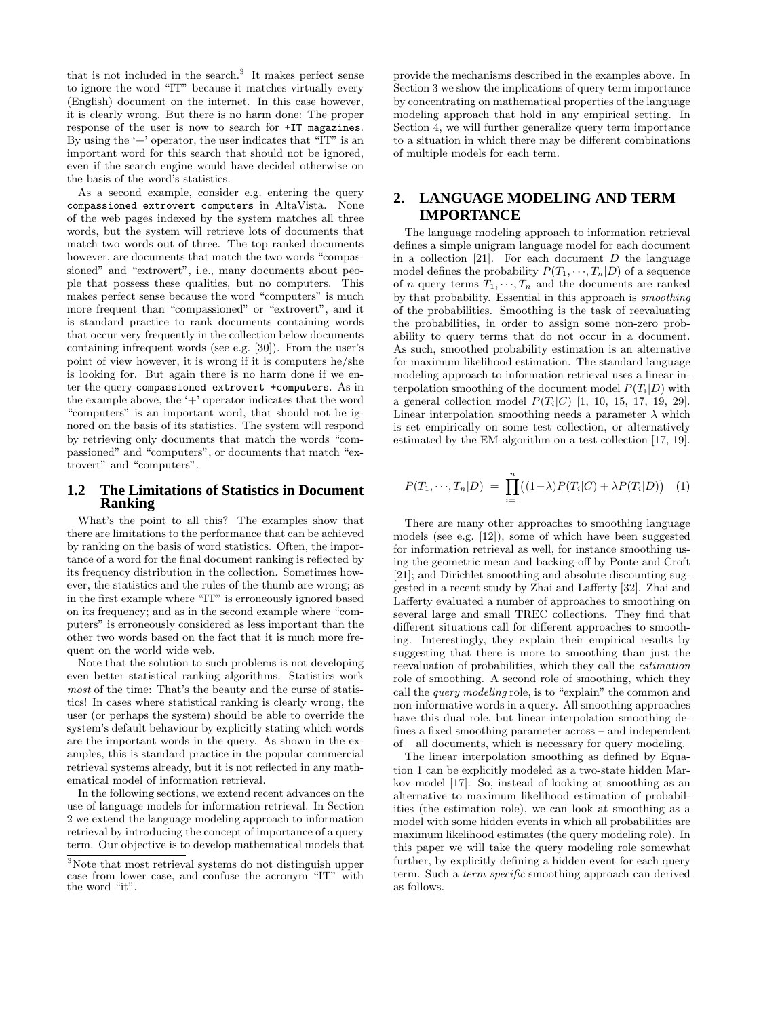that is not included in the search.<sup>3</sup> It makes perfect sense to ignore the word "IT" because it matches virtually every (English) document on the internet. In this case however, it is clearly wrong. But there is no harm done: The proper response of the user is now to search for +IT magazines. By using the  $+$  operator, the user indicates that "IT" is an important word for this search that should not be ignored, even if the search engine would have decided otherwise on the basis of the word's statistics.

As a second example, consider e.g. entering the query compassioned extrovert computers in AltaVista. None of the web pages indexed by the system matches all three words, but the system will retrieve lots of documents that match two words out of three. The top ranked documents however, are documents that match the two words "compassioned" and "extrovert", i.e., many documents about people that possess these qualities, but no computers. This makes perfect sense because the word "computers" is much more frequent than "compassioned" or "extrovert", and it is standard practice to rank documents containing words that occur very frequently in the collection below documents containing infrequent words (see e.g. [30]). From the user's point of view however, it is wrong if it is computers he/she is looking for. But again there is no harm done if we enter the query compassioned extrovert +computers. As in the example above, the  $+$  operator indicates that the word "computers" is an important word, that should not be ignored on the basis of its statistics. The system will respond by retrieving only documents that match the words "compassioned" and "computers", or documents that match "extrovert" and "computers".

## **1.2 The Limitations of Statistics in Document Ranking**

What's the point to all this? The examples show that there are limitations to the performance that can be achieved by ranking on the basis of word statistics. Often, the importance of a word for the final document ranking is reflected by its frequency distribution in the collection. Sometimes however, the statistics and the rules-of-the-thumb are wrong; as in the first example where "IT" is erroneously ignored based on its frequency; and as in the second example where "computers" is erroneously considered as less important than the other two words based on the fact that it is much more frequent on the world wide web.

Note that the solution to such problems is not developing even better statistical ranking algorithms. Statistics work most of the time: That's the beauty and the curse of statistics! In cases where statistical ranking is clearly wrong, the user (or perhaps the system) should be able to override the system's default behaviour by explicitly stating which words are the important words in the query. As shown in the examples, this is standard practice in the popular commercial retrieval systems already, but it is not reflected in any mathematical model of information retrieval.

In the following sections, we extend recent advances on the use of language models for information retrieval. In Section 2 we extend the language modeling approach to information retrieval by introducing the concept of importance of a query term. Our objective is to develop mathematical models that provide the mechanisms described in the examples above. In Section 3 we show the implications of query term importance by concentrating on mathematical properties of the language modeling approach that hold in any empirical setting. In Section 4, we will further generalize query term importance to a situation in which there may be different combinations of multiple models for each term.

# **2. LANGUAGE MODELING AND TERM IMPORTANCE**

The language modeling approach to information retrieval defines a simple unigram language model for each document in a collection  $[21]$ . For each document  $D$  the language model defines the probability  $P(T_1, \dots, T_n|D)$  of a sequence of *n* query terms  $T_1, \dots, T_n$  and the documents are ranked by that probability. Essential in this approach is smoothing of the probabilities. Smoothing is the task of reevaluating the probabilities, in order to assign some non-zero probability to query terms that do not occur in a document. As such, smoothed probability estimation is an alternative for maximum likelihood estimation. The standard language modeling approach to information retrieval uses a linear interpolation smoothing of the document model  $P(T_i|D)$  with a general collection model  $P(T_i|C)$  [1, 10, 15, 17, 19, 29]. Linear interpolation smoothing needs a parameter  $\lambda$  which is set empirically on some test collection, or alternatively estimated by the EM-algorithm on a test collection [17, 19].

$$
P(T_1, \dots, T_n | D) = \prod_{i=1}^n ((1 - \lambda) P(T_i | C) + \lambda P(T_i | D)) \quad (1)
$$

There are many other approaches to smoothing language models (see e.g. [12]), some of which have been suggested for information retrieval as well, for instance smoothing using the geometric mean and backing-off by Ponte and Croft [21]; and Dirichlet smoothing and absolute discounting suggested in a recent study by Zhai and Lafferty [32]. Zhai and Lafferty evaluated a number of approaches to smoothing on several large and small TREC collections. They find that different situations call for different approaches to smoothing. Interestingly, they explain their empirical results by suggesting that there is more to smoothing than just the reevaluation of probabilities, which they call the estimation role of smoothing. A second role of smoothing, which they call the query modeling role, is to "explain" the common and non-informative words in a query. All smoothing approaches have this dual role, but linear interpolation smoothing defines a fixed smoothing parameter across – and independent of – all documents, which is necessary for query modeling.

The linear interpolation smoothing as defined by Equation 1 can be explicitly modeled as a two-state hidden Markov model [17]. So, instead of looking at smoothing as an alternative to maximum likelihood estimation of probabilities (the estimation role), we can look at smoothing as a model with some hidden events in which all probabilities are maximum likelihood estimates (the query modeling role). In this paper we will take the query modeling role somewhat further, by explicitly defining a hidden event for each query term. Such a term-specific smoothing approach can derived as follows.

<sup>3</sup>Note that most retrieval systems do not distinguish upper case from lower case, and confuse the acronym "IT" with the word "it".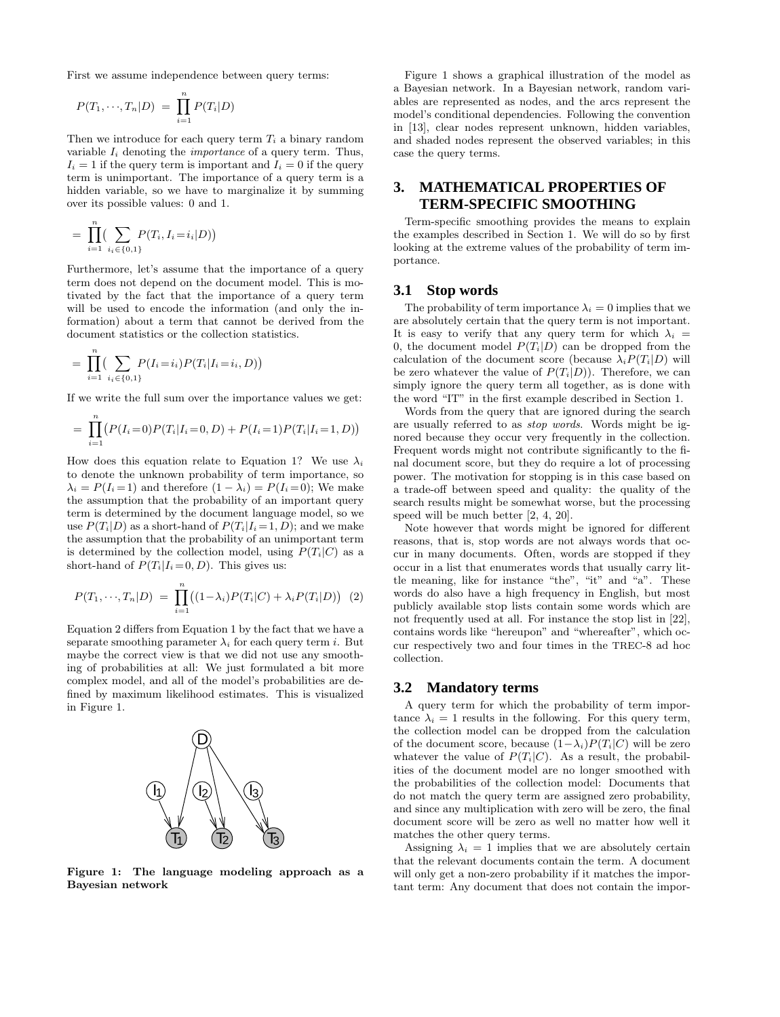First we assume independence between query terms:

$$
P(T_1,\cdots,T_n|D) = \prod_{i=1}^n P(T_i|D)
$$

Then we introduce for each query term  $T_i$  a binary random variable  $I_i$  denoting the *importance* of a query term. Thus,  $I_i = 1$  if the query term is important and  $I_i = 0$  if the query term is unimportant. The importance of a query term is a hidden variable, so we have to marginalize it by summing over its possible values: 0 and 1.

$$
= \prod_{i=1}^{n} \left( \sum_{i_i \in \{0,1\}} P(T_i, I_i = i_i | D) \right)
$$

Furthermore, let's assume that the importance of a query term does not depend on the document model. This is motivated by the fact that the importance of a query term will be used to encode the information (and only the information) about a term that cannot be derived from the document statistics or the collection statistics.

$$
= \prod_{i=1}^{n} \left( \sum_{i_i \in \{0,1\}} P(I_i = i_i) P(T_i | I_i = i_i, D) \right)
$$

If we write the full sum over the importance values we get:

$$
= \prod_{i=1}^{n} (P(I_i=0)P(T_i|I_i=0,D) + P(I_i=1)P(T_i|I_i=1,D))
$$

How does this equation relate to Equation 1? We use  $\lambda_i$ to denote the unknown probability of term importance, so  $\lambda_i = P(I_i = 1)$  and therefore  $(1 - \lambda_i) = P(I_i = 0)$ ; We make the assumption that the probability of an important query term is determined by the document language model, so we use  $P(T_i|D)$  as a short-hand of  $P(T_i|I_i = 1, D)$ ; and we make the assumption that the probability of an unimportant term is determined by the collection model, using  $P(T_i|C)$  as a short-hand of  $P(T_i|I_i = 0, D)$ . This gives us:

$$
P(T_1, \dots, T_n | D) = \prod_{i=1}^n ((1 - \lambda_i) P(T_i | C) + \lambda_i P(T_i | D))
$$
 (2)

Equation 2 differs from Equation 1 by the fact that we have a separate smoothing parameter  $\lambda_i$  for each query term i. But maybe the correct view is that we did not use any smoothing of probabilities at all: We just formulated a bit more complex model, and all of the model's probabilities are defined by maximum likelihood estimates. This is visualized in Figure 1.



Figure 1: The language modeling approach as a Bayesian network

Figure 1 shows a graphical illustration of the model as a Bayesian network. In a Bayesian network, random variables are represented as nodes, and the arcs represent the model's conditional dependencies. Following the convention in [13], clear nodes represent unknown, hidden variables, and shaded nodes represent the observed variables; in this case the query terms.

# **3. MATHEMATICAL PROPERTIES OF TERM-SPECIFIC SMOOTHING**

Term-specific smoothing provides the means to explain the examples described in Section 1. We will do so by first looking at the extreme values of the probability of term importance.

#### **3.1 Stop words**

The probability of term importance  $\lambda_i = 0$  implies that we are absolutely certain that the query term is not important. It is easy to verify that any query term for which  $\lambda_i =$ 0, the document model  $P(T_i|D)$  can be dropped from the calculation of the document score (because  $\lambda_i P(T_i|D)$  will be zero whatever the value of  $P(T_i|D)$ . Therefore, we can simply ignore the query term all together, as is done with the word "IT" in the first example described in Section 1.

Words from the query that are ignored during the search are usually referred to as stop words. Words might be ignored because they occur very frequently in the collection. Frequent words might not contribute significantly to the final document score, but they do require a lot of processing power. The motivation for stopping is in this case based on a trade-off between speed and quality: the quality of the search results might be somewhat worse, but the processing speed will be much better [2, 4, 20].

Note however that words might be ignored for different reasons, that is, stop words are not always words that occur in many documents. Often, words are stopped if they occur in a list that enumerates words that usually carry little meaning, like for instance "the", "it" and "a". These words do also have a high frequency in English, but most publicly available stop lists contain some words which are not frequently used at all. For instance the stop list in [22], contains words like "hereupon" and "whereafter", which occur respectively two and four times in the TREC-8 ad hoc collection.

#### **3.2 Mandatory terms**

A query term for which the probability of term importance  $\lambda_i = 1$  results in the following. For this query term, the collection model can be dropped from the calculation of the document score, because  $(1-\lambda_i)P(T_i|C)$  will be zero whatever the value of  $P(T_i|C)$ . As a result, the probabilities of the document model are no longer smoothed with the probabilities of the collection model: Documents that do not match the query term are assigned zero probability, and since any multiplication with zero will be zero, the final document score will be zero as well no matter how well it matches the other query terms.

Assigning  $\lambda_i = 1$  implies that we are absolutely certain that the relevant documents contain the term. A document will only get a non-zero probability if it matches the important term: Any document that does not contain the impor-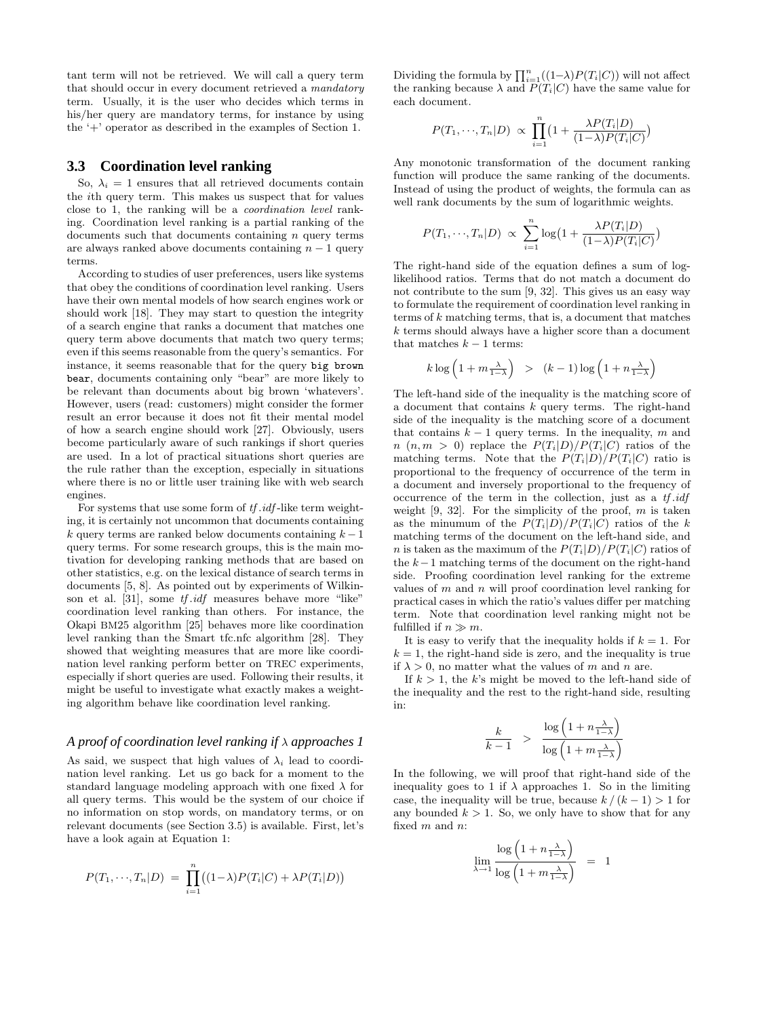tant term will not be retrieved. We will call a query term that should occur in every document retrieved a mandatory term. Usually, it is the user who decides which terms in his/her query are mandatory terms, for instance by using the '+' operator as described in the examples of Section 1.

#### **3.3 Coordination level ranking**

So,  $\lambda_i = 1$  ensures that all retrieved documents contain the ith query term. This makes us suspect that for values close to 1, the ranking will be a coordination level ranking. Coordination level ranking is a partial ranking of the documents such that documents containing  $n$  query terms are always ranked above documents containing  $n - 1$  query terms.

According to studies of user preferences, users like systems that obey the conditions of coordination level ranking. Users have their own mental models of how search engines work or should work [18]. They may start to question the integrity of a search engine that ranks a document that matches one query term above documents that match two query terms; even if this seems reasonable from the query's semantics. For instance, it seems reasonable that for the query big brown bear, documents containing only "bear" are more likely to be relevant than documents about big brown 'whatevers'. However, users (read: customers) might consider the former result an error because it does not fit their mental model of how a search engine should work [27]. Obviously, users become particularly aware of such rankings if short queries are used. In a lot of practical situations short queries are the rule rather than the exception, especially in situations where there is no or little user training like with web search engines.

For systems that use some form of  $tf.idf$ -like term weighting, it is certainly not uncommon that documents containing k query terms are ranked below documents containing  $k-1$ query terms. For some research groups, this is the main motivation for developing ranking methods that are based on other statistics, e.g. on the lexical distance of search terms in documents [5, 8]. As pointed out by experiments of Wilkinson et al. [31], some tf .idf measures behave more "like" coordination level ranking than others. For instance, the Okapi BM25 algorithm [25] behaves more like coordination level ranking than the Smart tfc.nfc algorithm [28]. They showed that weighting measures that are more like coordination level ranking perform better on TREC experiments, especially if short queries are used. Following their results, it might be useful to investigate what exactly makes a weighting algorithm behave like coordination level ranking.

#### *A proof of coordination level ranking if* λ *approaches 1*

As said, we suspect that high values of  $\lambda_i$  lead to coordination level ranking. Let us go back for a moment to the standard language modeling approach with one fixed  $\lambda$  for all query terms. This would be the system of our choice if no information on stop words, on mandatory terms, or on relevant documents (see Section 3.5) is available. First, let's have a look again at Equation 1:

$$
P(T_1,\dots,T_n|D) = \prod_{i=1}^n ((1-\lambda)P(T_i|C) + \lambda P(T_i|D))
$$

Dividing the formula by  $\prod_{i=1}^{n}((1-\lambda)P(T_i|C))$  will not affect the ranking because  $\lambda$  and  $P(T_i|C)$  have the same value for each document.

$$
P(T_1, \dots, T_n | D) \propto \prod_{i=1}^n \left(1 + \frac{\lambda P(T_i | D)}{(1 - \lambda) P(T_i | C)}\right)
$$

Any monotonic transformation of the document ranking function will produce the same ranking of the documents. Instead of using the product of weights, the formula can as well rank documents by the sum of logarithmic weights.

$$
P(T_1, \dots, T_n | D) \propto \sum_{i=1}^n \log \left( 1 + \frac{\lambda P(T_i | D)}{(1 - \lambda) P(T_i | C)} \right)
$$

The right-hand side of the equation defines a sum of loglikelihood ratios. Terms that do not match a document do not contribute to the sum [9, 32]. This gives us an easy way to formulate the requirement of coordination level ranking in terms of k matching terms, that is, a document that matches  $k$  terms should always have a higher score than a document that matches  $k - 1$  terms:

$$
k \log \left(1 + m \frac{\lambda}{1 - \lambda} \right) > (k - 1) \log \left(1 + n \frac{\lambda}{1 - \lambda} \right)
$$

The left-hand side of the inequality is the matching score of a document that contains  $k$  query terms. The right-hand side of the inequality is the matching score of a document that contains  $k - 1$  query terms. In the inequality, m and  $n (n, m > 0)$  replace the  $P(T_i|D)/P(T_i|C)$  ratios of the matching terms. Note that the  $P(T_i|D)/P(T_i|C)$  ratio is proportional to the frequency of occurrence of the term in a document and inversely proportional to the frequency of occurrence of the term in the collection, just as a tf .idf weight [9, 32]. For the simplicity of the proof,  $m$  is taken as the minumum of the  $P(T_i|D)/P(T_i|C)$  ratios of the k matching terms of the document on the left-hand side, and n is taken as the maximum of the  $P(T_i|D)/P(T_i|C)$  ratios of the k−1 matching terms of the document on the right-hand side. Proofing coordination level ranking for the extreme values of  $m$  and  $n$  will proof coordination level ranking for practical cases in which the ratio's values differ per matching term. Note that coordination level ranking might not be fulfilled if  $n \gg m$ .

It is easy to verify that the inequality holds if  $k = 1$ . For  $k = 1$ , the right-hand side is zero, and the inequality is true if  $\lambda > 0$ , no matter what the values of m and n are.

If  $k > 1$ , the k's might be moved to the left-hand side of the inequality and the rest to the right-hand side, resulting in:

$$
\frac{k}{k-1} > \frac{\log\left(1 + n\frac{\lambda}{1-\lambda}\right)}{\log\left(1 + m\frac{\lambda}{1-\lambda}\right)}
$$

In the following, we will proof that right-hand side of the inequality goes to 1 if  $\lambda$  approaches 1. So in the limiting case, the inequality will be true, because  $k/(k-1) > 1$  for any bounded  $k > 1$ . So, we only have to show that for any fixed  $m$  and  $n$ :

$$
\lim_{\lambda \to 1} \frac{\log\left(1 + n \frac{\lambda}{1 - \lambda}\right)}{\log\left(1 + m \frac{\lambda}{1 - \lambda}\right)} = 1
$$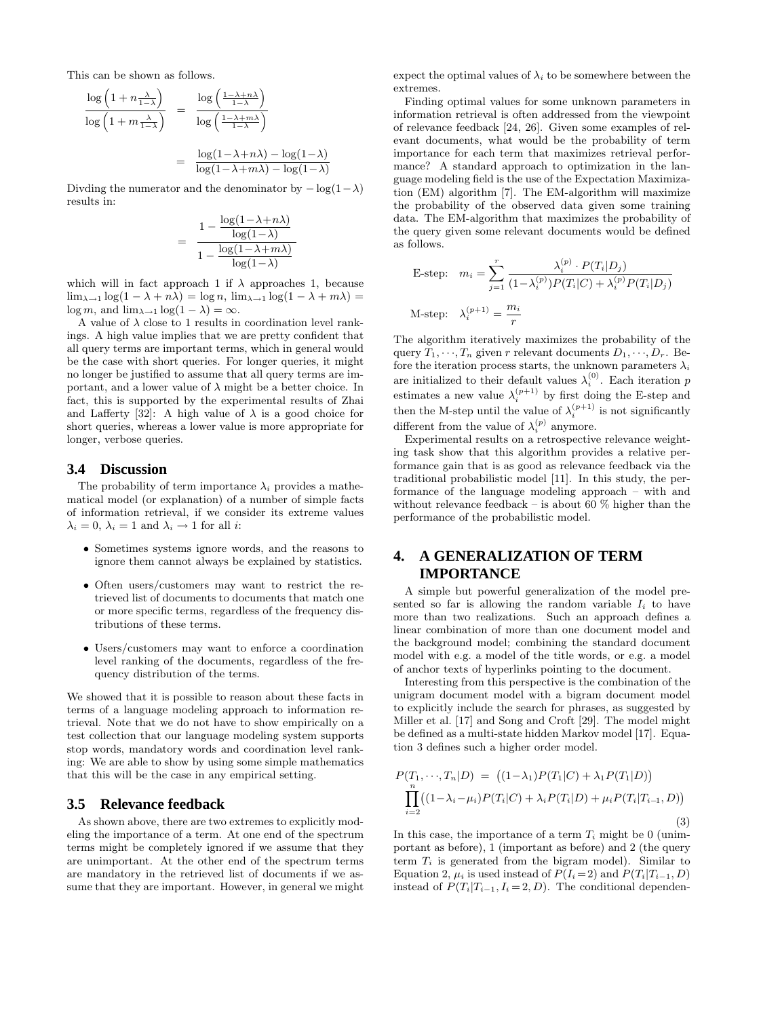This can be shown as follows.

$$
\frac{\log\left(1 + n\frac{\lambda}{1-\lambda}\right)}{\log\left(1 + m\frac{\lambda}{1-\lambda}\right)} = \frac{\log\left(\frac{1-\lambda+n\lambda}{1-\lambda}\right)}{\log\left(\frac{1-\lambda+n\lambda}{1-\lambda}\right)}
$$

$$
= \frac{\log(1-\lambda+n\lambda) - \log(1-\lambda)}{\log(1-\lambda+n\lambda) - \log(1-\lambda)}
$$

Divding the numerator and the denominator by  $-\log(1-\lambda)$ results in:

$$
= \frac{1 - \frac{\log(1 - \lambda + n\lambda)}{\log(1 - \lambda)}}{1 - \frac{\log(1 - \lambda + m\lambda)}{\log(1 - \lambda)}}
$$

which will in fact approach 1 if  $\lambda$  approaches 1, because  $\lim_{\lambda\to 1} \log(1-\lambda+n\lambda) = \log n, \lim_{\lambda\to 1} \log(1-\lambda+m\lambda) =$  $\log m$ , and  $\lim_{\lambda \to 1} \log(1 - \lambda) = \infty$ .

A value of  $\lambda$  close to 1 results in coordination level rankings. A high value implies that we are pretty confident that all query terms are important terms, which in general would be the case with short queries. For longer queries, it might no longer be justified to assume that all query terms are important, and a lower value of  $\lambda$  might be a better choice. In fact, this is supported by the experimental results of Zhai and Lafferty [32]: A high value of  $\lambda$  is a good choice for short queries, whereas a lower value is more appropriate for longer, verbose queries.

## **3.4 Discussion**

The probability of term importance  $\lambda_i$  provides a mathematical model (or explanation) of a number of simple facts of information retrieval, if we consider its extreme values  $\lambda_i = 0, \lambda_i = 1$  and  $\lambda_i \rightarrow 1$  for all *i*:

- Sometimes systems ignore words, and the reasons to ignore them cannot always be explained by statistics.
- Often users/customers may want to restrict the retrieved list of documents to documents that match one or more specific terms, regardless of the frequency distributions of these terms.
- Users/customers may want to enforce a coordination level ranking of the documents, regardless of the frequency distribution of the terms.

We showed that it is possible to reason about these facts in terms of a language modeling approach to information retrieval. Note that we do not have to show empirically on a test collection that our language modeling system supports stop words, mandatory words and coordination level ranking: We are able to show by using some simple mathematics that this will be the case in any empirical setting.

#### **3.5 Relevance feedback**

As shown above, there are two extremes to explicitly modeling the importance of a term. At one end of the spectrum terms might be completely ignored if we assume that they are unimportant. At the other end of the spectrum terms are mandatory in the retrieved list of documents if we assume that they are important. However, in general we might expect the optimal values of  $\lambda_i$  to be somewhere between the extremes.

Finding optimal values for some unknown parameters in information retrieval is often addressed from the viewpoint of relevance feedback [24, 26]. Given some examples of relevant documents, what would be the probability of term importance for each term that maximizes retrieval performance? A standard approach to optimization in the language modeling field is the use of the Expectation Maximization (EM) algorithm [7]. The EM-algorithm will maximize the probability of the observed data given some training data. The EM-algorithm that maximizes the probability of the query given some relevant documents would be defined as follows.

E-step: 
$$
m_i = \sum_{j=1}^r \frac{\lambda_i^{(p)} \cdot P(T_i|D_j)}{(1-\lambda_i^{(p)})P(T_i|C) + \lambda_i^{(p)}P(T_i|D_j)}
$$
  
M-step:  $\lambda_i^{(p+1)} = \frac{m_i}{r}$ 

The algorithm iteratively maximizes the probability of the query  $T_1, \dots, T_n$  given r relevant documents  $D_1, \dots, D_r$ . Before the iteration process starts, the unknown parameters  $\lambda_i$ are initialized to their default values  $\lambda_i^{(0)}$ . Each iteration p estimates a new value  $\lambda_i^{(p+1)}$  by first doing the E-step and then the M-step until the value of  $\lambda_i^{(p+1)}$  is not significantly different from the value of  $\lambda_i^{(p)}$  anymore.

Experimental results on a retrospective relevance weighting task show that this algorithm provides a relative performance gain that is as good as relevance feedback via the traditional probabilistic model [11]. In this study, the performance of the language modeling approach – with and without relevance feedback – is about 60  $\%$  higher than the performance of the probabilistic model.

# **4. A GENERALIZATION OF TERM IMPORTANCE**

A simple but powerful generalization of the model presented so far is allowing the random variable  $I_i$  to have more than two realizations. Such an approach defines a linear combination of more than one document model and the background model; combining the standard document model with e.g. a model of the title words, or e.g. a model of anchor texts of hyperlinks pointing to the document.

Interesting from this perspective is the combination of the unigram document model with a bigram document model to explicitly include the search for phrases, as suggested by Miller et al. [17] and Song and Croft [29]. The model might be defined as a multi-state hidden Markov model [17]. Equation 3 defines such a higher order model.

$$
P(T_1, \dots, T_n | D) = ((1 - \lambda_1) P(T_1 | C) + \lambda_1 P(T_1 | D))
$$
  

$$
\prod_{i=2}^n ((1 - \lambda_i - \mu_i) P(T_i | C) + \lambda_i P(T_i | D) + \mu_i P(T_i | T_{i-1}, D))
$$
  
(3)

In this case, the importance of a term  $T_i$  might be 0 (unimportant as before), 1 (important as before) and 2 (the query term  $T_i$  is generated from the bigram model). Similar to Equation 2,  $\mu_i$  is used instead of  $P(I_i=2)$  and  $P(T_i|T_{i-1}, D)$ instead of  $P(T_i|T_{i-1}, I_i = 2, D)$ . The conditional dependen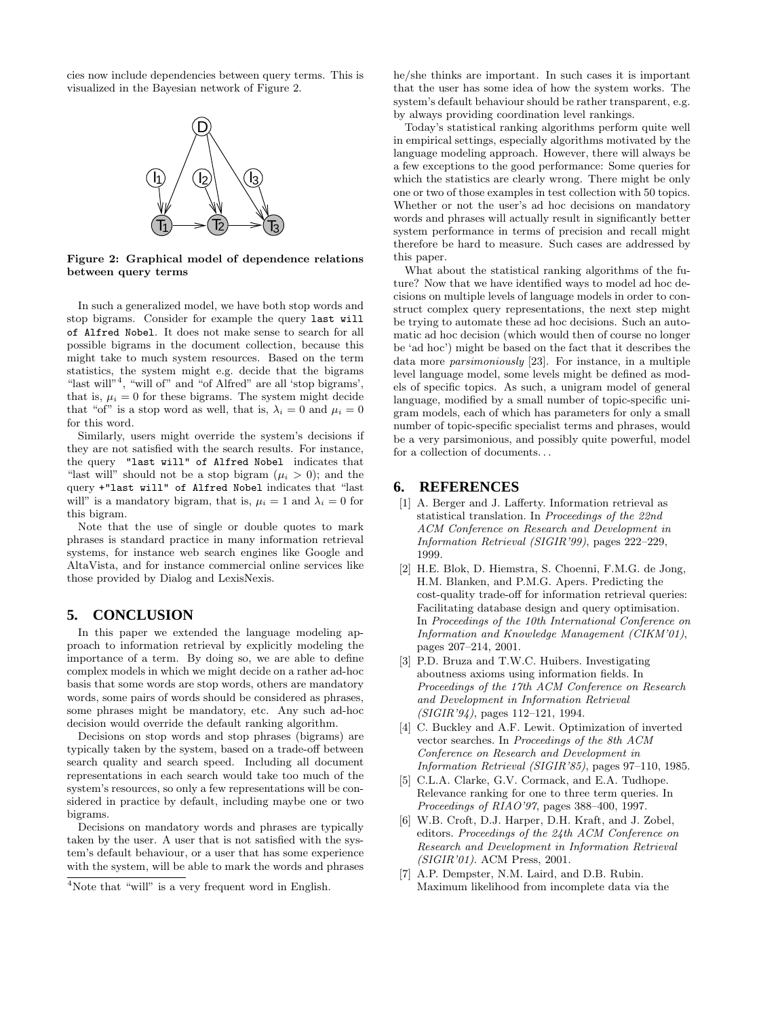cies now include dependencies between query terms. This is visualized in the Bayesian network of Figure 2.



Figure 2: Graphical model of dependence relations between query terms

In such a generalized model, we have both stop words and stop bigrams. Consider for example the query last will of Alfred Nobel. It does not make sense to search for all possible bigrams in the document collection, because this might take to much system resources. Based on the term statistics, the system might e.g. decide that the bigrams "last will"<sup>4</sup>, "will of" and "of Alfred" are all 'stop bigrams', that is,  $u_i = 0$  for these bigrams. The system might decide that "of" is a stop word as well, that is,  $\lambda_i = 0$  and  $\mu_i = 0$ for this word.

Similarly, users might override the system's decisions if they are not satisfied with the search results. For instance, the query "last will" of Alfred Nobel indicates that "last will" should not be a stop bigram  $(\mu_i > 0)$ ; and the query +"last will" of Alfred Nobel indicates that "last will" is a mandatory bigram, that is,  $\mu_i = 1$  and  $\lambda_i = 0$  for this bigram.

Note that the use of single or double quotes to mark phrases is standard practice in many information retrieval systems, for instance web search engines like Google and AltaVista, and for instance commercial online services like those provided by Dialog and LexisNexis.

# **5. CONCLUSION**

In this paper we extended the language modeling approach to information retrieval by explicitly modeling the importance of a term. By doing so, we are able to define complex models in which we might decide on a rather ad-hoc basis that some words are stop words, others are mandatory words, some pairs of words should be considered as phrases, some phrases might be mandatory, etc. Any such ad-hoc decision would override the default ranking algorithm.

Decisions on stop words and stop phrases (bigrams) are typically taken by the system, based on a trade-off between search quality and search speed. Including all document representations in each search would take too much of the system's resources, so only a few representations will be considered in practice by default, including maybe one or two bigrams.

Decisions on mandatory words and phrases are typically taken by the user. A user that is not satisfied with the system's default behaviour, or a user that has some experience with the system, will be able to mark the words and phrases he/she thinks are important. In such cases it is important that the user has some idea of how the system works. The system's default behaviour should be rather transparent, e.g. by always providing coordination level rankings.

Today's statistical ranking algorithms perform quite well in empirical settings, especially algorithms motivated by the language modeling approach. However, there will always be a few exceptions to the good performance: Some queries for which the statistics are clearly wrong. There might be only one or two of those examples in test collection with 50 topics. Whether or not the user's ad hoc decisions on mandatory words and phrases will actually result in significantly better system performance in terms of precision and recall might therefore be hard to measure. Such cases are addressed by this paper.

What about the statistical ranking algorithms of the future? Now that we have identified ways to model ad hoc decisions on multiple levels of language models in order to construct complex query representations, the next step might be trying to automate these ad hoc decisions. Such an automatic ad hoc decision (which would then of course no longer be 'ad hoc') might be based on the fact that it describes the data more parsimoniously [23]. For instance, in a multiple level language model, some levels might be defined as models of specific topics. As such, a unigram model of general language, modified by a small number of topic-specific unigram models, each of which has parameters for only a small number of topic-specific specialist terms and phrases, would be a very parsimonious, and possibly quite powerful, model for a collection of documents. . .

## **6. REFERENCES**

- [1] A. Berger and J. Lafferty. Information retrieval as statistical translation. In Proceedings of the 22nd ACM Conference on Research and Development in Information Retrieval (SIGIR'99), pages 222–229, 1999.
- [2] H.E. Blok, D. Hiemstra, S. Choenni, F.M.G. de Jong, H.M. Blanken, and P.M.G. Apers. Predicting the cost-quality trade-off for information retrieval queries: Facilitating database design and query optimisation. In Proceedings of the 10th International Conference on Information and Knowledge Management (CIKM'01), pages 207–214, 2001.
- [3] P.D. Bruza and T.W.C. Huibers. Investigating aboutness axioms using information fields. In Proceedings of the 17th ACM Conference on Research and Development in Information Retrieval (SIGIR'94), pages 112–121, 1994.
- [4] C. Buckley and A.F. Lewit. Optimization of inverted vector searches. In Proceedings of the 8th ACM Conference on Research and Development in Information Retrieval (SIGIR'85), pages 97–110, 1985.
- [5] C.L.A. Clarke, G.V. Cormack, and E.A. Tudhope. Relevance ranking for one to three term queries. In Proceedings of RIAO'97, pages 388–400, 1997.
- [6] W.B. Croft, D.J. Harper, D.H. Kraft, and J. Zobel, editors. Proceedings of the 24th ACM Conference on Research and Development in Information Retrieval (SIGIR'01). ACM Press, 2001.
- [7] A.P. Dempster, N.M. Laird, and D.B. Rubin. Maximum likelihood from incomplete data via the

<sup>4</sup>Note that "will" is a very frequent word in English.